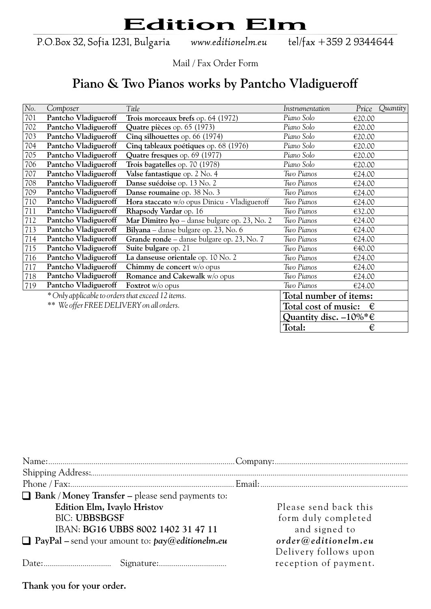P.O.Box 32, Sofia 1231, Bulgaria

www.editionelm.eu

tel/fax +359 2 9344644

Mail / Fax Order Form

#### **Piano & Two Pianos works by Pantcho Vladigueroff**

| No. | Composer                                          | Title                                         | Instrumentation                           | Price  | Quantity |
|-----|---------------------------------------------------|-----------------------------------------------|-------------------------------------------|--------|----------|
| 701 | Pantcho Vladigueroff                              | Trois morceaux brefs op. 64 (1972)            | Piano Solo                                | €20.00 |          |
| 702 | Pantcho Vladigueroff                              | Quatre pièces op. 65 (1973)                   | Piano Solo                                | €20.00 |          |
| 703 | Pantcho Vladigueroff                              | Cinq silhouettes op. 66 (1974)                | Piano Solo                                | €20.00 |          |
| 704 | Pantcho Vladigueroff                              | Cinq tableaux poétiques op. 68 (1976)         | Piano Solo                                | €20.00 |          |
| 705 | Pantcho Vladigueroff                              | Quatre fresques op. 69 (1977)                 | Piano Solo                                | €20.00 |          |
| 706 | Pantcho Vladigueroff                              | Trois bagatelles op. 70 (1978)                | Piano Solo                                | €20.00 |          |
| 707 | Pantcho Vladigueroff                              | Valse fantastique op. 2 No. 4                 | Two Pianos                                | €24.00 |          |
| 708 | Pantcho Vladigueroff                              | Danse suédoise op. 13 No. 2                   | Two Pianos                                | €24.00 |          |
| 709 | Pantcho Vladigueroff                              | Danse roumaine op. 38 No. 3                   | Two Pianos                                | €24.00 |          |
| 710 | Pantcho Vladigueroff                              | Hora staccato w/o opus Dinicu - Vladigueroff  | Two Pianos                                | €24.00 |          |
| 711 | Pantcho Vladigueroff                              | Rhapsody Vardar op. 16                        | Two Pianos                                | €32.00 |          |
| 712 | Pantcho Vladigueroff                              | Mar Dimitro lyo – danse bulgare op. 23, No. 2 | Two Pianos                                | €24.00 |          |
| 713 | Pantcho Vladigueroff                              | Bilyana – danse bulgare op. 23, No. 6         | Two Pianos                                | €24.00 |          |
| 714 | Pantcho Vladigueroff                              | Grande ronde - danse bulgare op. 23, No. 7    | Two Pianos                                | €24.00 |          |
| 715 | Pantcho Vladigueroff                              | Suite bulgare op. 21                          | Two Pianos                                | €40.00 |          |
| 716 | Pantcho Vladigueroff                              | La danseuse orientale op. 10 No. 2            | Two Pianos                                | €24.00 |          |
| 717 | Pantcho Vladigueroff                              | Chimmy de concert w/o opus                    | Two Pianos                                | €24.00 |          |
| 718 | Pantcho Vladigueroff                              | <b>Romance and Cakewalk w/o opus</b>          | Two Pianos                                | €24.00 |          |
| 719 | Pantcho Vladigueroff                              | Foxtrot w/o opus                              | Two Pianos                                | €24.00 |          |
|     | * Only applicable to orders that exceed 12 items. |                                               | Total number of items:                    |        |          |
|     | ** We offer FREE DELIVERY on all orders.          |                                               | Total cost of music:                      | €      |          |
|     |                                                   |                                               | Quantity disc. $-10\%$ <sup>*</sup> $\in$ |        |          |
|     |                                                   |                                               | Total:                                    | €      |          |

| $\Box$ Bank / Money Transfer – please send payments to:  |                       |
|----------------------------------------------------------|-----------------------|
| Edition Elm, Ivaylo Hristov                              | Please send back this |
| <b>BIC: UBBSBGSF</b>                                     | form duly completed   |
| IBAN: BG16 UBBS 8002 1402 31 47 11                       | and signed to         |
| $\Box$ PayPal – send your amount to: $pay@editionelm.eu$ | order@editionelm.eu   |
|                                                          | Delivery follows upon |
|                                                          | reception of payment. |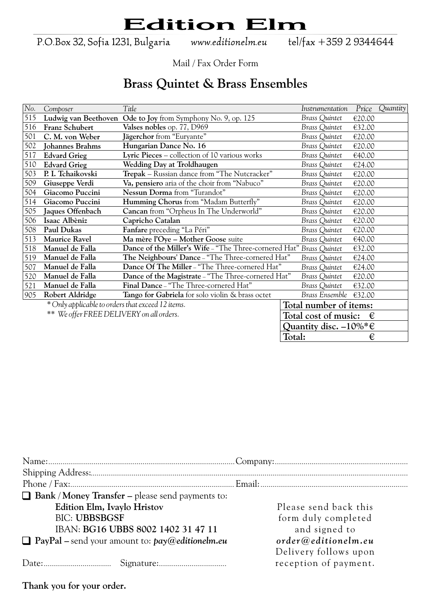P.O.Box 32, Sofia 1231, Bulgaria

www.editionelm.eu

tel/fax +359 2 9344644

Mail / Fax Order Form

#### **Brass Quintet & Brass Ensembles**

| No. | Composer                                          | Title                                                               | Instrumentation                | Price  | Quantity |
|-----|---------------------------------------------------|---------------------------------------------------------------------|--------------------------------|--------|----------|
| 515 | Ludwig van Beethoven                              | Ode to Joy from Symphony No. 9, op. 125                             | Brass Quintet                  | €20.00 |          |
| 516 | Franz Schubert                                    | Valses nobles op. 77, D969                                          | <b>Brass Quintet</b>           | €32.00 |          |
| 501 | C. M. von Weber                                   | Jägerchor from "Euryante"                                           | <b>Brass Quintet</b>           | €20.00 |          |
| 502 | <b>Johannes Brahms</b>                            | Hungarian Dance No. 16                                              | Brass Quintet                  | €20.00 |          |
| 517 | <b>Edvard Grieg</b>                               | Lyric Pieces – collection of 10 various works                       | <b>Brass Quintet</b>           | €40.00 |          |
| 510 | <b>Edvard Grieg</b>                               | Wedding Day at Troldhaugen                                          | Brass Quintet                  | €24.00 |          |
| 503 | P. I. Tchaikovski                                 | Trepak - Russian dance from "The Nutcracker"                        | <b>Brass Quintet</b>           | €20.00 |          |
| 509 | Giuseppe Verdi                                    | Va, pensiero aria of the choir from "Nabuco"                        | Brass Quintet                  | €20.00 |          |
| 504 | Giacomo Puccini                                   | Nessun Dorma from "Turandot"                                        | <b>Brass Quintet</b>           | €20.00 |          |
| 514 | Giacomo Puccini                                   | Humming Chorus from "Madam Butterfly"                               | <b>Brass Quintet</b>           | €20.00 |          |
| 505 | Jaques Offenbach                                  | Cancan from "Orpheus In The Underworld"                             | <b>Brass Quintet</b>           | €20.00 |          |
| 506 | Isaac Albèniz                                     | Capricho Catalan                                                    | <b>Brass Quintet</b>           | €20.00 |          |
| 508 | Paul Dukas                                        | Fanfare preceding "La Péri"                                         | Brass Quintet                  | €20.00 |          |
| 513 | <b>Maurice Ravel</b>                              | Ma mère l'Oye - Mother Goose suite                                  | <b>Brass Quintet</b>           | €40.00 |          |
| 518 | Manuel de Falla                                   | Dance of the Miller's Wife - "The Three-cornered Hat" Brass Quintet |                                | €32.00 |          |
| 519 | Manuel de Falla                                   | The Neighbours' Dance - "The Three-cornered Hat"                    | <b>Brass Quintet</b>           | €24.00 |          |
| 507 | Manuel de Falla                                   | Dance Of The Miller - "The Three-cornered Hat"                      | <b>Brass Quintet</b>           | €24.00 |          |
| 520 | Manuel de Falla                                   | Dance of the Magistrate - "The Three-cornered Hat"                  | <b>Brass Quintet</b>           | €20.00 |          |
| 521 | Manuel de Falla                                   | Final Dance - "The Three-cornered Hat"                              | Brass Quintet                  | €32.00 |          |
| 905 | Robert Aldridge                                   | Tango for Gabriela for solo violin & brass octet                    | Brass Ensemble                 | €32.00 |          |
|     | * Only applicable to orders that exceed 12 items. |                                                                     | Total number of items:         |        |          |
|     | ** We offer FREE DELIVERY on all orders.          |                                                                     | Total cost of music:           | €      |          |
|     |                                                   |                                                                     | Quantity disc. $-10\%$ * $\in$ |        |          |
|     |                                                   |                                                                     | Total:                         | €      |          |

| Please send back this |
|-----------------------|
| form duly completed   |
| and signed to         |
| order@editionelm.eu   |
| Delivery follows upon |
| reception of payment. |
|                       |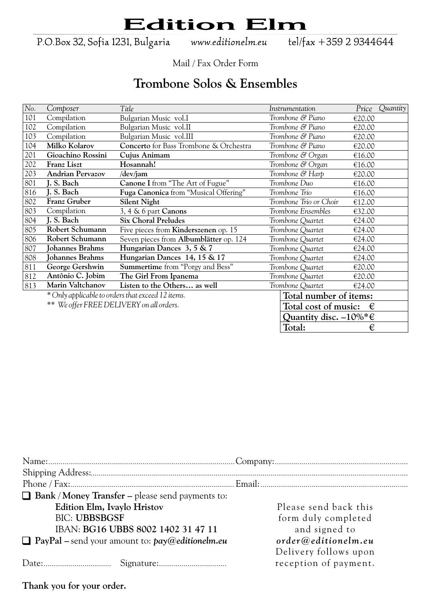P.O.Box 32, Sofia 1231, Bulgaria

www.editionelm.eu

tel/fax +359 2 9344644

Mail / Fax Order Form

#### **Trombone Solos & Ensembles**

| No. | Composer                                          | Title                                   | Instrumentation                           | Price  | Quantity |
|-----|---------------------------------------------------|-----------------------------------------|-------------------------------------------|--------|----------|
| 101 | Compilation                                       | Bulgarian Music vol.I                   | Trombone & Piano                          | €20.00 |          |
| 102 | Compilation                                       | Bulgarian Music vol.II                  | Trombone & Piano                          | €20.00 |          |
| 103 | Compilation                                       | Bulgarian Music vol.III                 | Trombone & Piano                          | €20.00 |          |
| 104 | Milko Kolarov                                     | Concerto for Bass Trombone & Orchestra  | Trombone & Piano                          | €20.00 |          |
| 201 | Gioachino Rossini                                 | Cujus Animam                            | Trombone & Organ                          | €16.00 |          |
| 202 | Franz Liszt                                       | Hosannah!                               | Trombone & Organ                          | €16.00 |          |
| 203 | <b>Andrian Pervazov</b>                           | /dev/jam                                | Trombone & Harp                           | €20.00 |          |
| 801 | J. S. Bach                                        | Canone I from "The Art of Fugue"        | Trombone Duo                              | €16.00 |          |
| 816 | J. S. Bach                                        | Fuga Canonica from "Musical Offering"   | Trombone Trio                             | €16.00 |          |
| 802 | Franz Gruber                                      | <b>Silent Night</b>                     | Trombone Trio or Choir                    | €12.00 |          |
| 803 | Compilation                                       | 3, 4 & 6 part Canons                    | Trombone Ensembles                        | €32.00 |          |
| 804 | J. S. Bach                                        | <b>Six Choral Preludes</b>              | Trombone Quartet                          | €24.00 |          |
| 805 | Robert Schumann                                   | Five pieces from Kinderszenen op. 15    | Trombone Quartet                          | €24.00 |          |
| 806 | Robert Schumann                                   | Seven pieces from Albumblätter op. 124  | Trombone Quartet                          | €24.00 |          |
| 807 | Johannes Brahms                                   | Hungarian Dances 3, 5 & 7               | Trombone Quartet                          | €24.00 |          |
| 808 | <b>Johannes Brahms</b>                            | Hungarian Dances 14, 15 & 17            | Trombone Quartet                          | €24.00 |          |
| 811 | George Gershwin                                   | <b>Summertime</b> from "Porgy and Bess" | Trombone Quartet                          | €20.00 |          |
| 812 | Antônio C. Jobim                                  | The Girl From Ipanema                   | Trombone Quartet                          | €20.00 |          |
| 813 | Marin Valtchanov                                  | Listen to the Others as well            | Trombone Quartet                          | €24.00 |          |
|     | * Only applicable to orders that exceed 12 items. |                                         | Total number of items:                    |        |          |
|     | ** We offer FREE DELIVERY on all orders.          |                                         | Total cost of music:                      | €      |          |
|     |                                                   |                                         | Quantity disc. $-10\%$ <sup>*</sup> $\in$ |        |          |
|     |                                                   |                                         | Total:                                    | €      |          |

| $\Box$ Bank / Money Transfer – please send payments to:  |                       |
|----------------------------------------------------------|-----------------------|
| Edition Elm, Ivaylo Hristov                              | Please send back this |
| <b>BIC: UBBSBGSF</b>                                     | form duly completed   |
| IBAN: BG16 UBBS 8002 1402 31 47 11                       | and signed to         |
| $\Box$ PayPal – send your amount to: $pay@editionelm.eu$ | order@editionelm.eu   |
|                                                          | Delivery follows upon |
|                                                          | reception of payment. |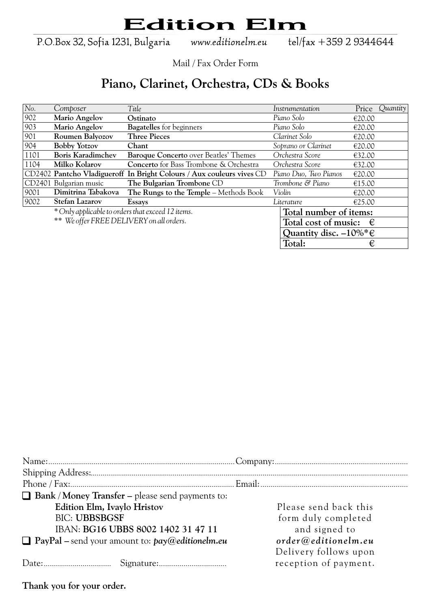P.O.Box 32, Sofia 1231, Bulgaria

www.editionelm.eu

tel/fax +359 2 9344644

Mail / Fax Order Form

#### **Piano, Clarinet, Orchestra, CDs & Books**

| No.  | Composer                                          | Title                                                                 | Instrumentation                           | Price  | Quantity |
|------|---------------------------------------------------|-----------------------------------------------------------------------|-------------------------------------------|--------|----------|
| 902  | Mario Angelov                                     | Ostinato                                                              | Piano Solo                                | €20.00 |          |
| 903  | Mario Angelov                                     | <b>Bagatelles</b> for beginners                                       | Piano Solo                                | €20.00 |          |
| 901  | Roumen Balyozov                                   | <b>Three Pieces</b>                                                   | Clarinet Solo                             | €20.00 |          |
| 904  | <b>Bobby Yotzov</b>                               | Chant                                                                 | Soprano or Clarinet                       | €20.00 |          |
| 1101 | <b>Boris Karadimchev</b>                          | Baroque Concerto over Beatles' Themes                                 | Orchestra Score                           | €32.00 |          |
| 1104 | Milko Kolarov                                     | <b>Concerto</b> for Bass Trombone & Orchestra                         | Orchestra Score                           | €32.00 |          |
|      |                                                   | CD2402 Pantcho Vladigueroff In Bright Colours / Aux couleurs vives CD | Piano Duo, Two Pianos                     | €20.00 |          |
|      | CD2401 Bulgarian music                            | The Bulgarian Trombone CD                                             | Trombone & Piano                          | €15.00 |          |
| 9001 | Dimitrina Tabakova                                | The Rungs to the Temple – Methods Book                                | Violin                                    | €20.00 |          |
| 9002 | <b>Stefan Lazarov</b>                             | Essays                                                                | Literature                                | €25.00 |          |
|      | * Only applicable to orders that exceed 12 items. |                                                                       | Total number of items:                    |        |          |
|      | ** We offer FREE DELIVERY on all orders.          |                                                                       | Total cost of music:                      | €      |          |
|      |                                                   |                                                                       | Quantity disc. $-10\%$ <sup>*</sup> $\in$ |        |          |
|      |                                                   |                                                                       | Total:                                    | €      |          |

| $\Box$ Bank / Money Transfer – please send payments to:  |                       |
|----------------------------------------------------------|-----------------------|
| Edition Elm, Ivaylo Hristov                              | Please send back this |
| <b>BIC: UBBSBGSF</b>                                     | form duly completed   |
| IBAN: BG16 UBBS 8002 1402 31 47 11                       | and signed to         |
| $\Box$ PayPal – send your amount to: $pay@editionelm.eu$ | order@editionelm.eu   |
|                                                          | Delivery follows upon |
|                                                          | reception of payment. |